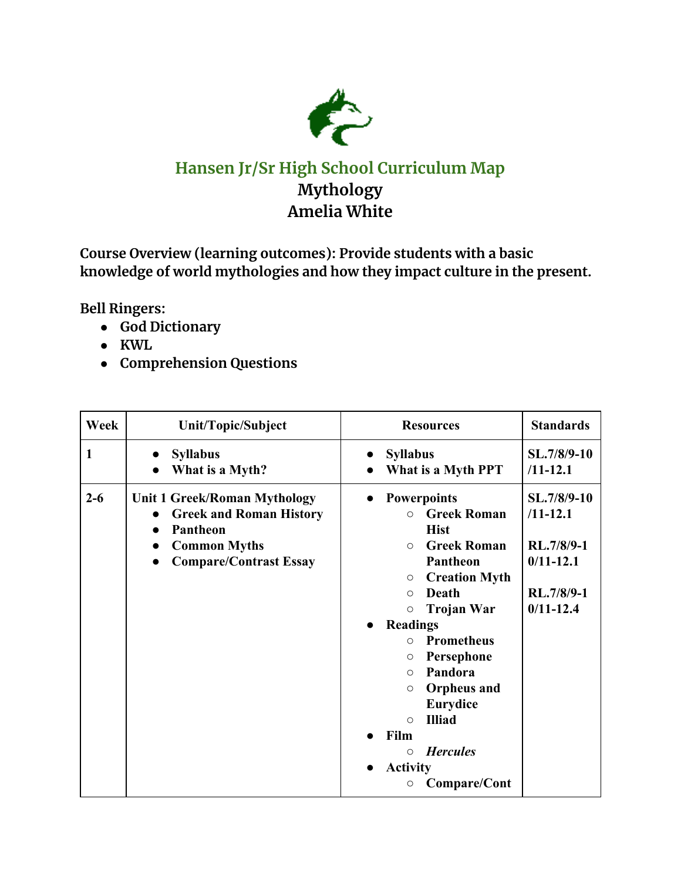

## **Hansen Jr/Sr High School Curriculum Map Mythology Amelia White**

**Course Overview (learning outcomes): Provide students with a basic knowledge of world mythologies and how they impact culture in the present.**

**Bell Ringers:**

- **● God Dictionary**
- **● KWL**
- **● Comprehension Questions**

| Week    | Unit/Topic/Subject                                                                                                                                                                            | <b>Resources</b>                                                                                                                                                                                                                                                                                                                                                                                                                                                                 | <b>Standards</b>                                                                          |
|---------|-----------------------------------------------------------------------------------------------------------------------------------------------------------------------------------------------|----------------------------------------------------------------------------------------------------------------------------------------------------------------------------------------------------------------------------------------------------------------------------------------------------------------------------------------------------------------------------------------------------------------------------------------------------------------------------------|-------------------------------------------------------------------------------------------|
| 1       | <b>Syllabus</b><br>What is a Myth?                                                                                                                                                            | <b>Syllabus</b><br>What is a Myth PPT                                                                                                                                                                                                                                                                                                                                                                                                                                            | SL.7/8/9-10<br>$/11 - 12.1$                                                               |
| $2 - 6$ | <b>Unit 1 Greek/Roman Mythology</b><br><b>Greek and Roman History</b><br>$\bullet$<br>Pantheon<br>$\bullet$<br><b>Common Myths</b><br>$\bullet$<br><b>Compare/Contrast Essay</b><br>$\bullet$ | <b>Powerpoints</b><br>$\bullet$<br><b>Greek Roman</b><br>$\circ$<br><b>Hist</b><br><b>Greek Roman</b><br>$\circ$<br>Pantheon<br><b>Creation Myth</b><br>$\bigcirc$<br>Death<br>$\circ$<br><b>Trojan War</b><br>$\circ$<br><b>Readings</b><br><b>Prometheus</b><br>$\circ$<br>Persephone<br>O<br>Pandora<br>$\circ$<br><b>Orpheus</b> and<br>$\circ$<br><b>Eurydice</b><br><b>Illiad</b><br>$\circ$<br>Film<br><b>Hercules</b><br>$\circ$<br><b>Activity</b><br>Compare/Cont<br>O | SL.7/8/9-10<br>$/11 - 12.1$<br>RL.7/8/9-1<br>$0/11 - 12.1$<br>RL.7/8/9-1<br>$0/11 - 12.4$ |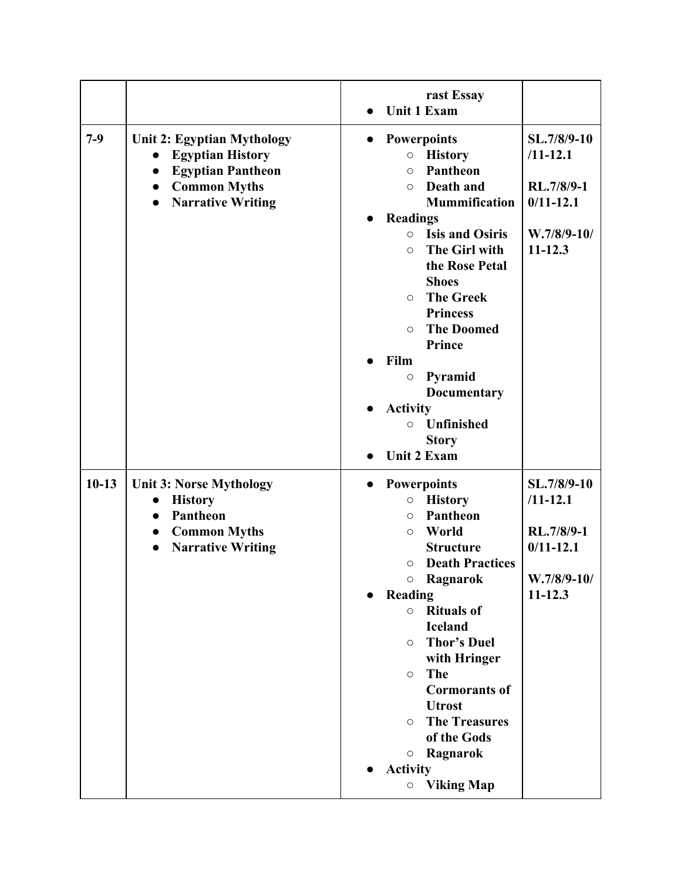|         |                                                                                                                                                                                          | rast Essay                                                                                                                                                                                                                                                                                                                                                                                                                                                                                                          |                                                                                            |
|---------|------------------------------------------------------------------------------------------------------------------------------------------------------------------------------------------|---------------------------------------------------------------------------------------------------------------------------------------------------------------------------------------------------------------------------------------------------------------------------------------------------------------------------------------------------------------------------------------------------------------------------------------------------------------------------------------------------------------------|--------------------------------------------------------------------------------------------|
|         |                                                                                                                                                                                          | <b>Unit 1 Exam</b>                                                                                                                                                                                                                                                                                                                                                                                                                                                                                                  |                                                                                            |
| $7-9$   | Unit 2: Egyptian Mythology<br><b>Egyptian History</b><br>$\bullet$<br><b>Egyptian Pantheon</b><br>$\bullet$<br><b>Common Myths</b><br>$\bullet$<br><b>Narrative Writing</b><br>$\bullet$ | <b>Powerpoints</b><br>$\bullet$<br><b>History</b><br>$\circ$<br><b>Pantheon</b><br>$\circ$<br>Death and<br>$\circ$<br><b>Mummification</b><br><b>Readings</b><br><b>Isis and Osiris</b><br>$\circ$<br>The Girl with<br>$\circ$<br>the Rose Petal<br><b>Shoes</b><br><b>The Greek</b><br>$\circ$<br><b>Princess</b><br><b>The Doomed</b><br>$\circ$<br><b>Prince</b><br>Film<br>Pyramid<br>$\bigcirc$<br><b>Documentary</b><br><b>Activity</b><br><b>Unfinished</b><br>$\circ$<br><b>Story</b><br><b>Unit 2 Exam</b> | SL.7/8/9-10<br>$/11 - 12.1$<br>RL.7/8/9-1<br>$0/11 - 12.1$<br>$W.7/8/9-10/$<br>$11 - 12.3$ |
| $10-13$ | <b>Unit 3: Norse Mythology</b><br><b>History</b><br>$\bullet$<br>Pantheon<br>$\bullet$<br><b>Common Myths</b><br><b>Narrative Writing</b><br>$\bullet$                                   | <b>Powerpoints</b><br><b>History</b><br>$\bigcirc$<br>Pantheon<br>$\circ$<br>World<br>$\circ$<br><b>Structure</b><br><b>Death Practices</b><br>$\circ$<br>Ragnarok<br>$\bigcirc$<br>Reading<br>$\bullet$<br><b>Rituals of</b><br>$\circ$<br><b>Iceland</b><br><b>Thor's Duel</b><br>$\circ$<br>with Hringer<br>The<br>$\circ$<br><b>Cormorants of</b><br><b>Utrost</b><br><b>The Treasures</b><br>$\circ$<br>of the Gods<br>Ragnarok<br>$\circ$<br><b>Activity</b><br><b>Viking Map</b><br>$\circ$                  | SL.7/8/9-10<br>$/11 - 12.1$<br>RL.7/8/9-1<br>$0/11 - 12.1$<br>W.7/8/9-10/<br>$11 - 12.3$   |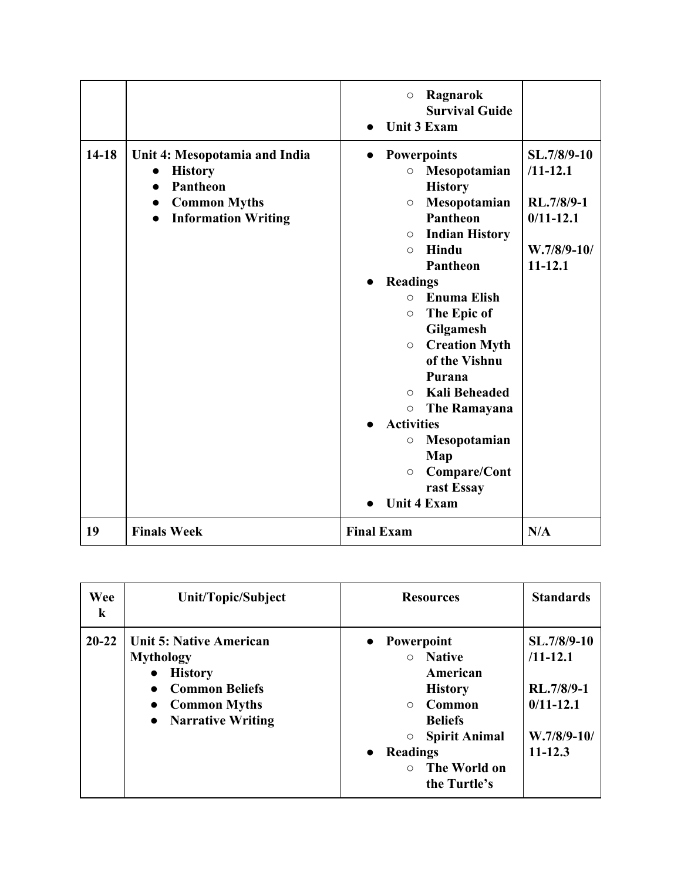|         |                                                                                                                                                                             | Ragnarok<br>$\circ$<br><b>Survival Guide</b><br><b>Unit 3 Exam</b>                                                                                                                                                                                                                                                                                                                                                                                                                                                                                                                           |                                                                                            |
|---------|-----------------------------------------------------------------------------------------------------------------------------------------------------------------------------|----------------------------------------------------------------------------------------------------------------------------------------------------------------------------------------------------------------------------------------------------------------------------------------------------------------------------------------------------------------------------------------------------------------------------------------------------------------------------------------------------------------------------------------------------------------------------------------------|--------------------------------------------------------------------------------------------|
| $14-18$ | Unit 4: Mesopotamia and India<br><b>History</b><br>$\bullet$<br><b>Pantheon</b><br>$\bullet$<br><b>Common Myths</b><br>$\bullet$<br><b>Information Writing</b><br>$\bullet$ | <b>Powerpoints</b><br>$\bullet$<br>Mesopotamian<br>$\circ$<br><b>History</b><br>Mesopotamian<br>$\circ$<br><b>Pantheon</b><br><b>Indian History</b><br>$\circ$<br>Hindu<br>$\circ$<br><b>Pantheon</b><br><b>Readings</b><br>$\bullet$<br><b>Enuma Elish</b><br>$\Omega$<br>The Epic of<br>$\circlearrowright$<br>Gilgamesh<br><b>Creation Myth</b><br>$\circ$<br>of the Vishnu<br>Purana<br><b>Kali Beheaded</b><br>$\bigcirc$<br><b>The Ramayana</b><br>$\circ$<br><b>Activities</b><br>Mesopotamian<br>$\bigcirc$<br>Map<br>Compare/Cont<br>$\bigcirc$<br>rast Essay<br><b>Unit 4 Exam</b> | SL.7/8/9-10<br>$/11 - 12.1$<br>RL.7/8/9-1<br>$0/11 - 12.1$<br>$W.7/8/9-10/$<br>$11 - 12.1$ |
| 19      | <b>Finals Week</b>                                                                                                                                                          | <b>Final Exam</b>                                                                                                                                                                                                                                                                                                                                                                                                                                                                                                                                                                            | N/A                                                                                        |

| Wee<br>k  | Unit/Topic/Subject                                                                                                                                            | <b>Resources</b>                                                                                                                                                                                            | <b>Standards</b>                                                                           |
|-----------|---------------------------------------------------------------------------------------------------------------------------------------------------------------|-------------------------------------------------------------------------------------------------------------------------------------------------------------------------------------------------------------|--------------------------------------------------------------------------------------------|
| $20 - 22$ | <b>Unit 5: Native American</b><br><b>Mythology</b><br><b>History</b><br><b>Common Beliefs</b><br><b>Common Myths</b><br><b>Narrative Writing</b><br>$\bullet$ | • Powerpoint<br><b>Native</b><br>$\bigcirc$<br>American<br><b>History</b><br>Common<br>$\bigcirc$<br><b>Beliefs</b><br><b>Spirit Animal</b><br><b>Readings</b><br>$\bullet$<br>The World on<br>the Turtle's | SL.7/8/9-10<br>$/11 - 12.1$<br>RL.7/8/9-1<br>$0/11 - 12.1$<br>$W.7/8/9-10/$<br>$11 - 12.3$ |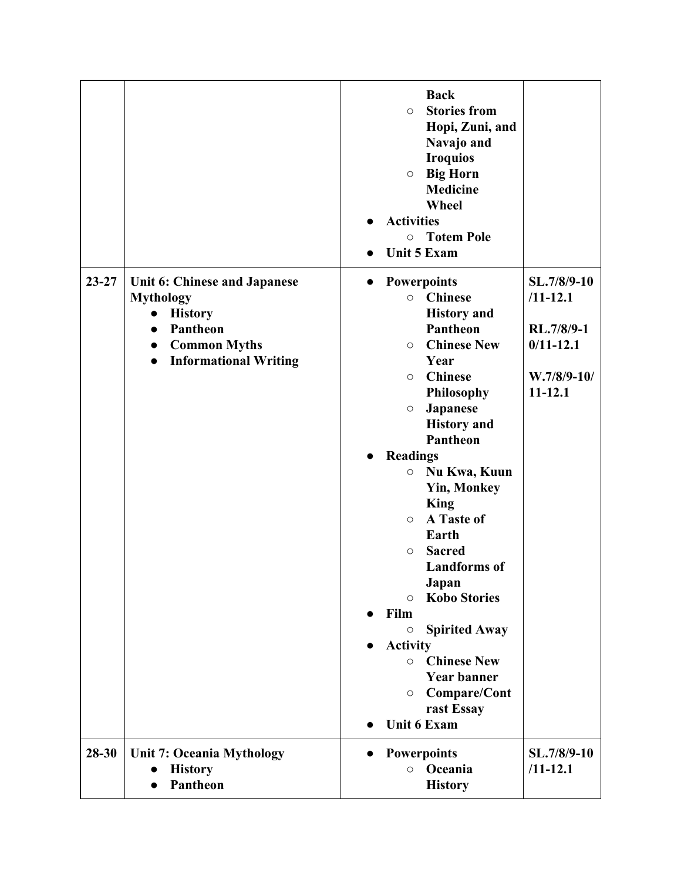|           |                                                                                                                                                                              | <b>Back</b><br><b>Stories from</b><br>$\circ$<br>Hopi, Zuni, and<br>Navajo and<br><b>Iroquios</b><br>$\circ$ Big Horn<br><b>Medicine</b><br>Wheel<br><b>Activities</b><br><b>Totem Pole</b><br>$\circ$<br><b>Unit 5 Exam</b>                                                                                                                                                                                                                                                                                                                                                                                                                                       |                                                                                            |
|-----------|------------------------------------------------------------------------------------------------------------------------------------------------------------------------------|--------------------------------------------------------------------------------------------------------------------------------------------------------------------------------------------------------------------------------------------------------------------------------------------------------------------------------------------------------------------------------------------------------------------------------------------------------------------------------------------------------------------------------------------------------------------------------------------------------------------------------------------------------------------|--------------------------------------------------------------------------------------------|
| $23 - 27$ | Unit 6: Chinese and Japanese<br><b>Mythology</b><br><b>History</b><br>Pantheon<br>$\bullet$<br><b>Common Myths</b><br>$\bullet$<br><b>Informational Writing</b><br>$\bullet$ | <b>Powerpoints</b><br>$\bullet$<br><b>Chinese</b><br>$\circ$<br><b>History</b> and<br>Pantheon<br><b>Chinese New</b><br>$\circ$<br>Year<br><b>Chinese</b><br>$\circ$<br>Philosophy<br>Japanese<br>$\circ$<br><b>History</b> and<br>Pantheon<br><b>Readings</b><br>$\bullet$<br>Nu Kwa, Kuun<br>$\bigcirc$<br><b>Yin, Monkey</b><br><b>King</b><br>A Taste of<br>$\circ$<br>Earth<br><b>Sacred</b><br>$\circ$<br><b>Landforms</b> of<br>Japan<br><b>Kobo Stories</b><br>$\circ$<br>Film<br><b>Spirited Away</b><br>$\circ$<br><b>Activity</b><br><b>Chinese New</b><br>$\circ$<br><b>Year banner</b><br>Compare/Cont<br>$\circ$<br>rast Essay<br><b>Unit 6 Exam</b> | SL.7/8/9-10<br>$/11 - 12.1$<br>RL.7/8/9-1<br>$0/11 - 12.1$<br>$W.7/8/9-10/$<br>$11 - 12.1$ |
| $28 - 30$ | <b>Unit 7: Oceania Mythology</b><br><b>History</b><br>$\bullet$<br>Pantheon                                                                                                  | <b>Powerpoints</b><br>Oceania<br>$\circ$<br><b>History</b>                                                                                                                                                                                                                                                                                                                                                                                                                                                                                                                                                                                                         | SL.7/8/9-10<br>$/11 - 12.1$                                                                |